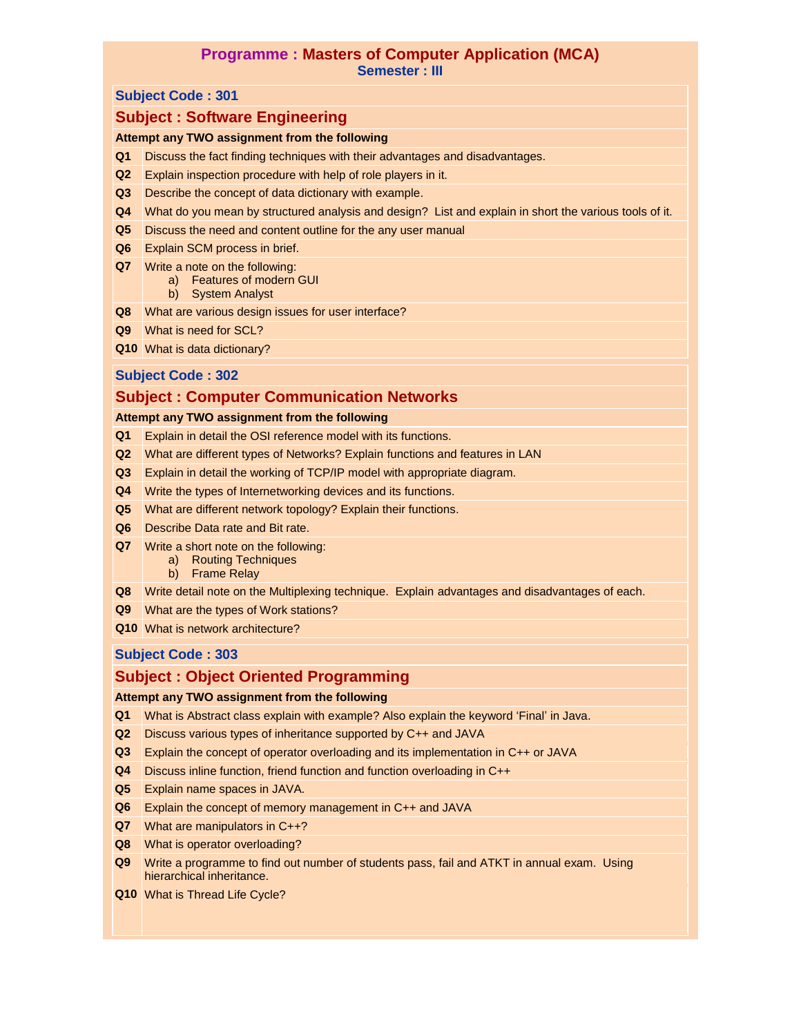### **Programme : Masters of Computer Application (MCA) Semester : III**

#### **Subject Code : 301**

# **Subject : Software Engineering**

### **Attempt any TWO assignment from the following**

- **Q1** Discuss the fact finding techniques with their advantages and disadvantages.
- **Q2** Explain inspection procedure with help of role players in it.
- **Q3** Describe the concept of data dictionary with example.
- **Q4** What do you mean by structured analysis and design? List and explain in short the various tools of it.
- **Q5** Discuss the need and content outline for the any user manual
- **Q6** Explain SCM process in brief.
- **Q7** Write a note on the following:
	- a) Features of modern GUI
	- b) System Analyst
- **Q8** What are various design issues for user interface?
- **Q9** What is need for SCL?
- **Q10** What is data dictionary?

### **Subject Code : 302**

## **Subject : Computer Communication Networks**

#### **Attempt any TWO assignment from the following**

- **Q1** Explain in detail the OSI reference model with its functions.
- **Q2** What are different types of Networks? Explain functions and features in LAN
- **Q3** Explain in detail the working of TCP/IP model with appropriate diagram.
- **Q4** Write the types of Internetworking devices and its functions.
- **Q5** What are different network topology? Explain their functions.
- **Q6** Describe Data rate and Bit rate.
- **Q7** Write a short note on the following:
	- a) Routing Techniques
	- b) Frame Relay
- **Q8** Write detail note on the Multiplexing technique. Explain advantages and disadvantages of each.
- **Q9** What are the types of Work stations?
- **Q10** What is network architecture?

## **Subject Code : 303**

# **Subject : Object Oriented Programming**

#### **Attempt any TWO assignment from the following**

- **Q1** What is Abstract class explain with example? Also explain the keyword "Final" in Java.
- **Q2** Discuss various types of inheritance supported by C++ and JAVA
- **Q3** Explain the concept of operator overloading and its implementation in C++ or JAVA
- **Q4** Discuss inline function, friend function and function overloading in C++
- **Q5** Explain name spaces in JAVA.
- **Q6** Explain the concept of memory management in C++ and JAVA
- **Q7** What are manipulators in C++?
- **Q8** What is operator overloading?
- **Q9** Write a programme to find out number of students pass, fail and ATKT in annual exam. Using hierarchical inheritance.
- **Q10** What is Thread Life Cycle?